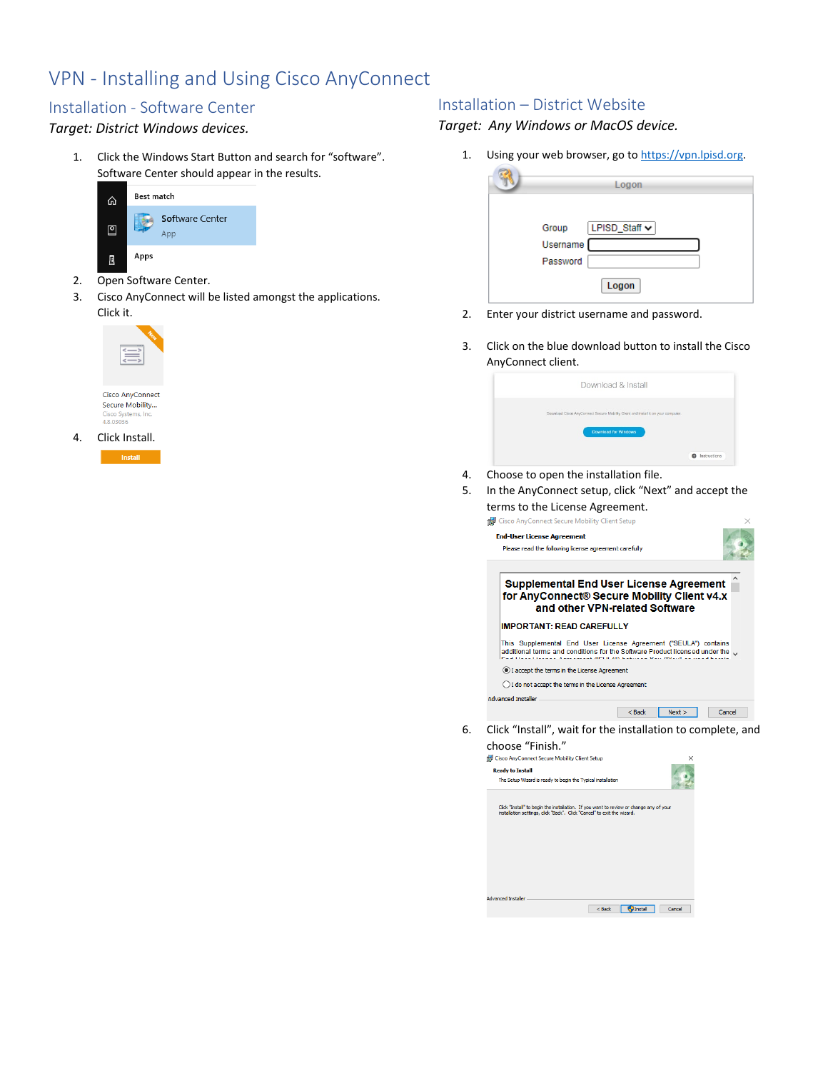# VPN - Installing and Using Cisco AnyConnect

## Installation - Software Center

#### *Target: District Windows devices.*

1. Click the Windows Start Button and search for "software". Software Center should appear in the results.



- 2. Open Software Center.
- 3. Cisco AnyConnect will be listed amongst the applications. Click it.



Cisco AnyConnect<br>Secure Mobility... Cisco Systems, Inc.<br>4.8.03036

4. Click Install. Install

#### Installation – District Website

*Target: Any Windows or MacOS device.*

1. Using your web browser, go to [https://vpn.lpisd.org.](https://vpn.lpisd.org/)

| Logon                                     |
|-------------------------------------------|
| LPISD_Staff <b>↓</b><br>Group<br>Username |
| Password<br>Logon                         |

- 2. Enter your district username and password.
- 3. Click on the blue download button to install the Cisco AnyConnect client.

| Download & Install                                                                |                         |
|-----------------------------------------------------------------------------------|-------------------------|
| Download Cisco AnyConnect Secure Mobility Client and install it on your computer. |                         |
| Download for Windows                                                              |                         |
|                                                                                   | Instructions<br>$\circ$ |

- 4. Choose to open the installation file.
- 5. In the AnyConnect setup, click "Next" and accept the terms to the License Agreement.

| Cisco AnyConnect Secure Mobility Client Setup                                                                                                                                                                      |        |
|--------------------------------------------------------------------------------------------------------------------------------------------------------------------------------------------------------------------|--------|
| <b>End-User License Agreement</b>                                                                                                                                                                                  |        |
| Please read the following license agreement carefully                                                                                                                                                              |        |
| <b>Supplemental End User License Agreement</b><br>for AnyConnect® Secure Mobility Client v4.x<br>and other VPN-related Software                                                                                    |        |
| <b>IMPORTANT: READ CAREFULLY</b>                                                                                                                                                                                   |        |
| This Supplemental End User License Agreement ("SEULA") contains<br>additional terms and conditions for the Software Product licensed under the w<br>at Channel Thomas Andreas and ARCOR ARVEN delivery Mary MMarch |        |
| (.) I accept the terms in the License Agreement                                                                                                                                                                    |        |
| ◯ I do not accept the terms in the License Agreement                                                                                                                                                               |        |
| <b>Advanced Installer</b>                                                                                                                                                                                          |        |
| Next<br>$<$ Back                                                                                                                                                                                                   | Cancel |
| Click "Install", wait for the installation to complete, and                                                                                                                                                        |        |

6. Click "Install", wait for the installation to complete, and Choose "Finish."<br>The Cisco AnyConnect Secure Mobility Client Setup